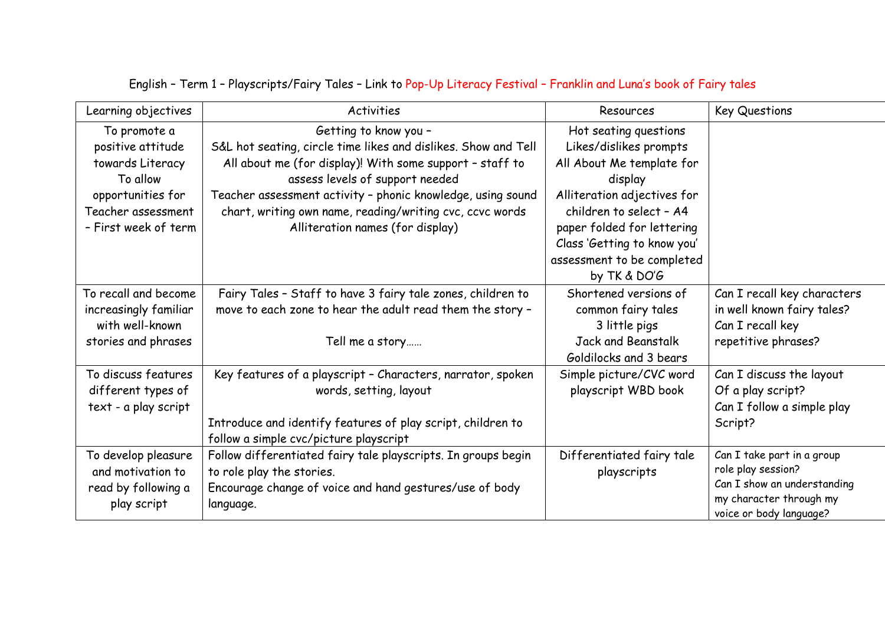| Learning objectives                                                                                                                  | Activities                                                                                                                                                                                                                                                                                                                                            | Resources                                                                                                                                                                                                                                                    | <b>Key Questions</b>                                                                                                                  |
|--------------------------------------------------------------------------------------------------------------------------------------|-------------------------------------------------------------------------------------------------------------------------------------------------------------------------------------------------------------------------------------------------------------------------------------------------------------------------------------------------------|--------------------------------------------------------------------------------------------------------------------------------------------------------------------------------------------------------------------------------------------------------------|---------------------------------------------------------------------------------------------------------------------------------------|
| To promote a<br>positive attitude<br>towards Literacy<br>To allow<br>opportunities for<br>Teacher assessment<br>- First week of term | Getting to know you -<br>S&L hot seating, circle time likes and dislikes. Show and Tell<br>All about me (for display)! With some support - staff to<br>assess levels of support needed<br>Teacher assessment activity - phonic knowledge, using sound<br>chart, writing own name, reading/writing cvc, ccvc words<br>Alliteration names (for display) | Hot seating questions<br>Likes/dislikes prompts<br>All About Me template for<br>display<br>Alliteration adjectives for<br>children to select - A4<br>paper folded for lettering<br>Class 'Getting to know you'<br>assessment to be completed<br>by TK & DO'G |                                                                                                                                       |
| To recall and become<br>increasingly familiar<br>with well-known<br>stories and phrases                                              | Fairy Tales - Staff to have 3 fairy tale zones, children to<br>move to each zone to hear the adult read them the story -<br>Tell me a story                                                                                                                                                                                                           | Shortened versions of<br>common fairy tales<br>3 little pigs<br>Jack and Beanstalk<br>Goldilocks and 3 bears                                                                                                                                                 | Can I recall key characters<br>in well known fairy tales?<br>Can I recall key<br>repetitive phrases?                                  |
| To discuss features<br>different types of<br>text - a play script                                                                    | Key features of a playscript - Characters, narrator, spoken<br>words, setting, layout<br>Introduce and identify features of play script, children to<br>follow a simple cvc/picture playscript                                                                                                                                                        | Simple picture/CVC word<br>playscript WBD book                                                                                                                                                                                                               | Can I discuss the layout<br>Of a play script?<br>Can I follow a simple play<br>Script?                                                |
| To develop pleasure<br>and motivation to<br>read by following a<br>play script                                                       | Follow differentiated fairy tale playscripts. In groups begin<br>to role play the stories.<br>Encourage change of voice and hand gestures/use of body<br>language.                                                                                                                                                                                    | Differentiated fairy tale<br>playscripts                                                                                                                                                                                                                     | Can I take part in a group<br>role play session?<br>Can I show an understanding<br>my character through my<br>voice or body language? |

## English – Term 1 – Playscripts/Fairy Tales – Link to Pop-Up Literacy Festival – Franklin and Luna's book of Fairy tales